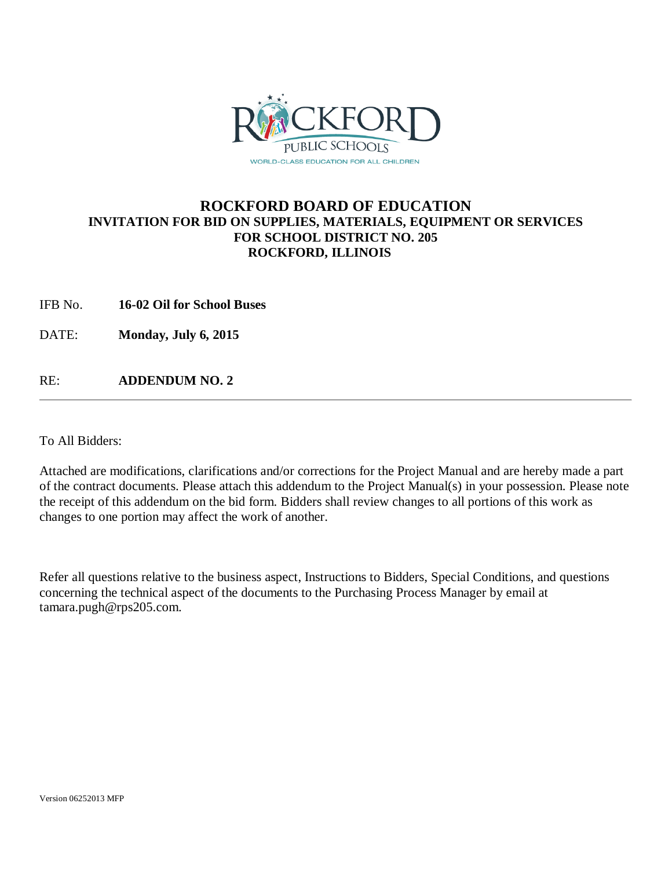

## **ROCKFORD BOARD OF EDUCATION INVITATION FOR BID ON SUPPLIES, MATERIALS, EQUIPMENT OR SERVICES FOR SCHOOL DISTRICT NO. 205 ROCKFORD, ILLINOIS**

IFB No. **16-02 Oil for School Buses**

DATE: **Monday, July 6, 2015**

RE: **ADDENDUM NO. 2**

To All Bidders:

Attached are modifications, clarifications and/or corrections for the Project Manual and are hereby made a part of the contract documents. Please attach this addendum to the Project Manual(s) in your possession. Please note the receipt of this addendum on the bid form. Bidders shall review changes to all portions of this work as changes to one portion may affect the work of another.

Refer all questions relative to the business aspect, Instructions to Bidders, Special Conditions, and questions concerning the technical aspect of the documents to the Purchasing Process Manager by email at tamara.pugh@rps205.com.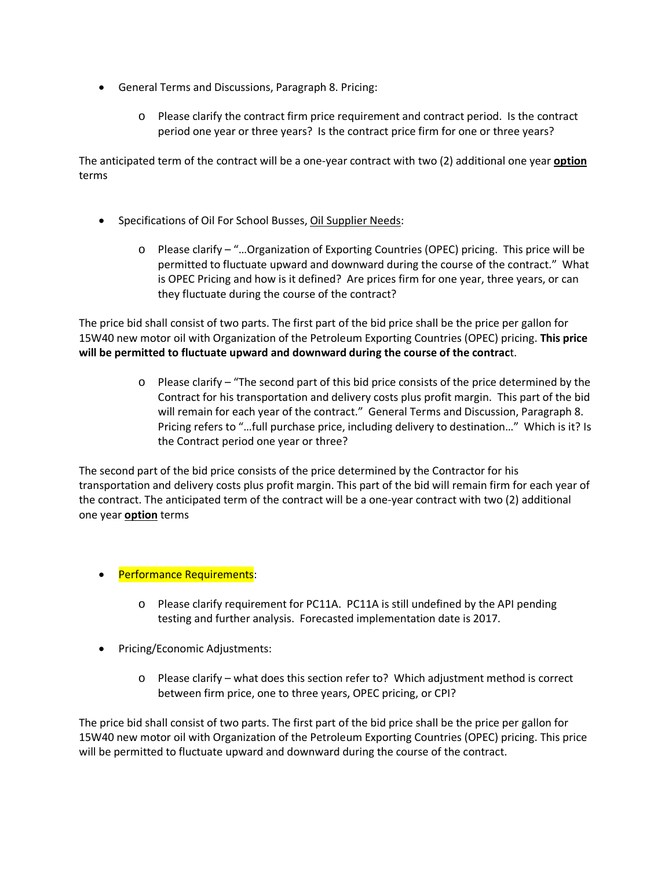- General Terms and Discussions, Paragraph 8. Pricing:
	- o Please clarify the contract firm price requirement and contract period. Is the contract period one year or three years? Is the contract price firm for one or three years?

The anticipated term of the contract will be a one-year contract with two (2) additional one year **option** terms

- Specifications of Oil For School Busses, Oil Supplier Needs:
	- o Please clarify "…Organization of Exporting Countries (OPEC) pricing. This price will be permitted to fluctuate upward and downward during the course of the contract." What is OPEC Pricing and how is it defined? Are prices firm for one year, three years, or can they fluctuate during the course of the contract?

The price bid shall consist of two parts. The first part of the bid price shall be the price per gallon for 15W40 new motor oil with Organization of the Petroleum Exporting Countries (OPEC) pricing. **This price will be permitted to fluctuate upward and downward during the course of the contrac**t.

> $\circ$  Please clarify – "The second part of this bid price consists of the price determined by the Contract for his transportation and delivery costs plus profit margin. This part of the bid will remain for each year of the contract." General Terms and Discussion, Paragraph 8. Pricing refers to "…full purchase price, including delivery to destination…" Which is it? Is the Contract period one year or three?

The second part of the bid price consists of the price determined by the Contractor for his transportation and delivery costs plus profit margin. This part of the bid will remain firm for each year of the contract. The anticipated term of the contract will be a one-year contract with two (2) additional one year **option** terms

- Performance Requirements:
	- o Please clarify requirement for PC11A. PC11A is still undefined by the API pending testing and further analysis. Forecasted implementation date is 2017.
- Pricing/Economic Adjustments:
	- o Please clarify what does this section refer to? Which adjustment method is correct between firm price, one to three years, OPEC pricing, or CPI?

The price bid shall consist of two parts. The first part of the bid price shall be the price per gallon for 15W40 new motor oil with Organization of the Petroleum Exporting Countries (OPEC) pricing. This price will be permitted to fluctuate upward and downward during the course of the contract.